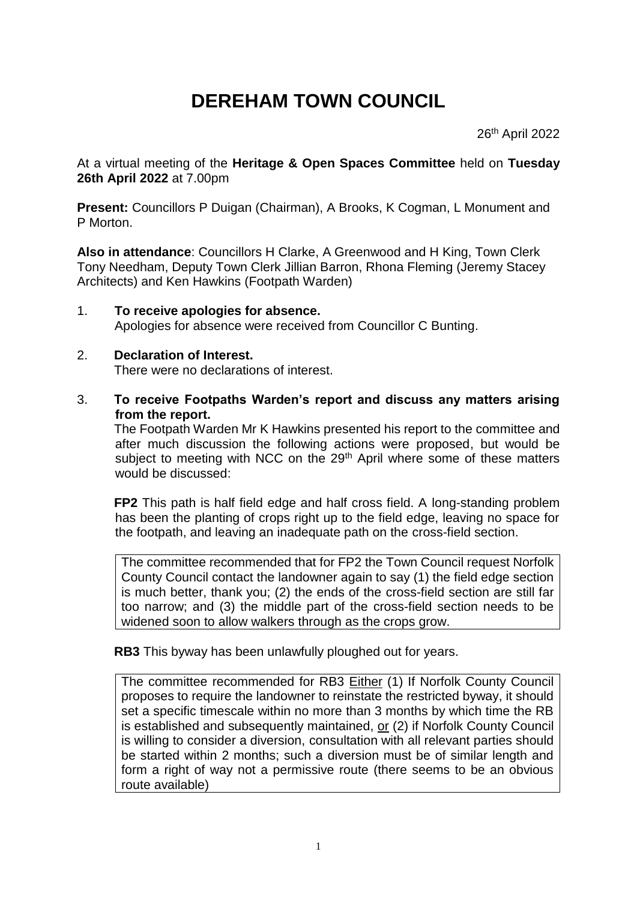## **DEREHAM TOWN COUNCIL**

26<sup>th</sup> April 2022

At a virtual meeting of the **Heritage & Open Spaces Committee** held on **Tuesday 26th April 2022** at 7.00pm

**Present:** Councillors P Duigan (Chairman), A Brooks, K Cogman, L Monument and P Morton.

**Also in attendance**: Councillors H Clarke, A Greenwood and H King, Town Clerk Tony Needham, Deputy Town Clerk Jillian Barron, Rhona Fleming (Jeremy Stacey Architects) and Ken Hawkins (Footpath Warden)

1. **To receive apologies for absence.** Apologies for absence were received from Councillor C Bunting.

## 2. **Declaration of Interest.** There were no declarations of interest.

3. **To receive Footpaths Warden's report and discuss any matters arising from the report.**

The Footpath Warden Mr K Hawkins presented his report to the committee and after much discussion the following actions were proposed, but would be subject to meeting with NCC on the 29<sup>th</sup> April where some of these matters would be discussed:

**FP2** This path is half field edge and half cross field. A long-standing problem has been the planting of crops right up to the field edge, leaving no space for the footpath, and leaving an inadequate path on the cross-field section.

The committee recommended that for FP2 the Town Council request Norfolk County Council contact the landowner again to say (1) the field edge section is much better, thank you; (2) the ends of the cross-field section are still far too narrow; and (3) the middle part of the cross-field section needs to be widened soon to allow walkers through as the crops grow.

**RB3** This byway has been unlawfully ploughed out for years.

The committee recommended for RB3 Either (1) If Norfolk County Council proposes to require the landowner to reinstate the restricted byway, it should set a specific timescale within no more than 3 months by which time the RB is established and subsequently maintained, or (2) if Norfolk County Council is willing to consider a diversion, consultation with all relevant parties should be started within 2 months; such a diversion must be of similar length and form a right of way not a permissive route (there seems to be an obvious route available)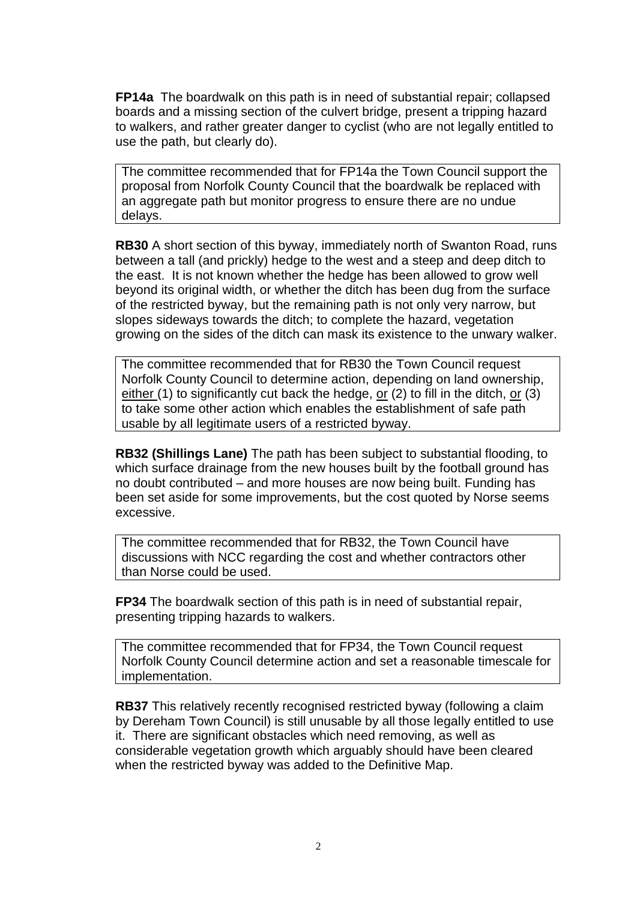**FP14a** The boardwalk on this path is in need of substantial repair; collapsed boards and a missing section of the culvert bridge, present a tripping hazard to walkers, and rather greater danger to cyclist (who are not legally entitled to use the path, but clearly do).

The committee recommended that for FP14a the Town Council support the proposal from Norfolk County Council that the boardwalk be replaced with an aggregate path but monitor progress to ensure there are no undue delays.

**RB30** A short section of this byway, immediately north of Swanton Road, runs between a tall (and prickly) hedge to the west and a steep and deep ditch to the east. It is not known whether the hedge has been allowed to grow well beyond its original width, or whether the ditch has been dug from the surface of the restricted byway, but the remaining path is not only very narrow, but slopes sideways towards the ditch; to complete the hazard, vegetation growing on the sides of the ditch can mask its existence to the unwary walker.

The committee recommended that for RB30 the Town Council request Norfolk County Council to determine action, depending on land ownership, either (1) to significantly cut back the hedge, or (2) to fill in the ditch, or (3) to take some other action which enables the establishment of safe path usable by all legitimate users of a restricted byway.

**RB32 (Shillings Lane)** The path has been subject to substantial flooding, to which surface drainage from the new houses built by the football ground has no doubt contributed – and more houses are now being built. Funding has been set aside for some improvements, but the cost quoted by Norse seems excessive.

The committee recommended that for RB32, the Town Council have discussions with NCC regarding the cost and whether contractors other than Norse could be used.

**FP34** The boardwalk section of this path is in need of substantial repair, presenting tripping hazards to walkers.

The committee recommended that for FP34, the Town Council request Norfolk County Council determine action and set a reasonable timescale for implementation.

**RB37** This relatively recently recognised restricted byway (following a claim by Dereham Town Council) is still unusable by all those legally entitled to use it. There are significant obstacles which need removing, as well as considerable vegetation growth which arguably should have been cleared when the restricted byway was added to the Definitive Map.